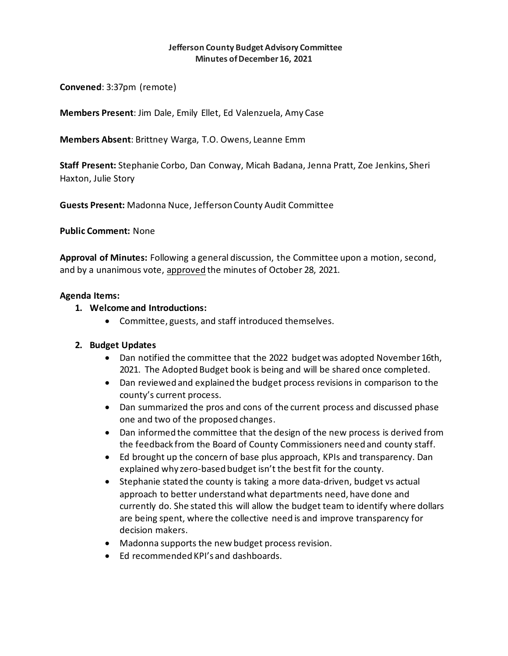### **Jefferson County Budget Advisory Committee Minutes of December 16, 2021**

**Convened**: 3:37pm (remote)

**Members Present**: Jim Dale, Emily Ellet, Ed Valenzuela, Amy Case

**Members Absent**: Brittney Warga, T.O. Owens, Leanne Emm

**Staff Present:** Stephanie Corbo, Dan Conway, Micah Badana, Jenna Pratt, Zoe Jenkins, Sheri Haxton, Julie Story

**Guests Present:** Madonna Nuce, Jefferson County Audit Committee

**Public Comment:** None

**Approval of Minutes:** Following a general discussion, the Committee upon a motion, second, and by a unanimous vote, approved the minutes of October 28, 2021.

## **Agenda Items:**

## **1. Welcome and Introductions:**

• Committee, guests, and staff introduced themselves.

### **2. Budget Updates**

- Dan notified the committee that the 2022 budget was adopted November 16th, 2021. The Adopted Budget book is being and will be shared once completed.
- Dan reviewed and explained the budget process revisions in comparison to the county's current process.
- Dan summarized the pros and cons of the current process and discussed phase one and two of the proposed changes.
- Dan informed the committee that the design of the new process is derived from the feedback from the Board of County Commissioners need and county staff.
- Ed brought up the concern of base plus approach, KPIs and transparency. Dan explained why zero-based budget isn't the best fit for the county.
- Stephanie stated the county is taking a more data-driven, budget vs actual approach to better understand what departments need, have done and currently do. She stated this will allow the budget team to identify where dollars are being spent, where the collective need is and improve transparency for decision makers.
- Madonna supports the new budget process revision.
- Ed recommended KPI's and dashboards.